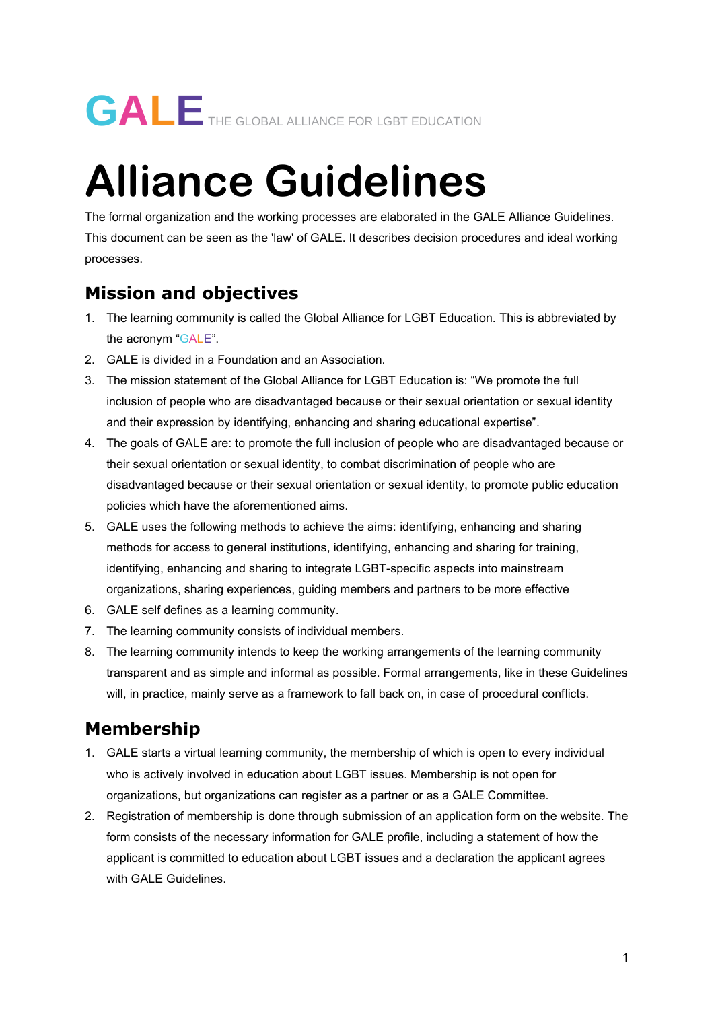# **Alliance Guidelines**

The formal organization and the working processes are elaborated in the GALE Alliance Guidelines. This document can be seen as the 'law' of GALE. It describes decision procedures and ideal working processes.

# **Mission and objectives**

- 1. The learning community is called the Global Alliance for LGBT Education. This is abbreviated by the acronym "GALE".
- 2. GALE is divided in a Foundation and an Association.
- 3. The mission statement of the Global Alliance for LGBT Education is: "We promote the full inclusion of people who are disadvantaged because or their sexual orientation or sexual identity and their expression by identifying, enhancing and sharing educational expertise".
- 4. The goals of GALE are: to promote the full inclusion of people who are disadvantaged because or their sexual orientation or sexual identity, to combat discrimination of people who are disadvantaged because or their sexual orientation or sexual identity, to promote public education policies which have the aforementioned aims.
- 5. GALE uses the following methods to achieve the aims: identifying, enhancing and sharing methods for access to general institutions, identifying, enhancing and sharing for training, identifying, enhancing and sharing to integrate LGBT-specific aspects into mainstream organizations, sharing experiences, guiding members and partners to be more effective
- 6. GALE self defines as a learning community.
- 7. The learning community consists of individual members.
- 8. The learning community intends to keep the working arrangements of the learning community transparent and as simple and informal as possible. Formal arrangements, like in these Guidelines will, in practice, mainly serve as a framework to fall back on, in case of procedural conflicts.

## **Membership**

- 1. GALE starts a virtual learning community, the membership of which is open to every individual who is actively involved in education about LGBT issues. Membership is not open for organizations, but organizations can register as a partner or as a GALE Committee.
- 2. Registration of membership is done through submission of an application form on the website. The form consists of the necessary information for GALE profile, including a statement of how the applicant is committed to education about LGBT issues and a declaration the applicant agrees with GALE Guidelines.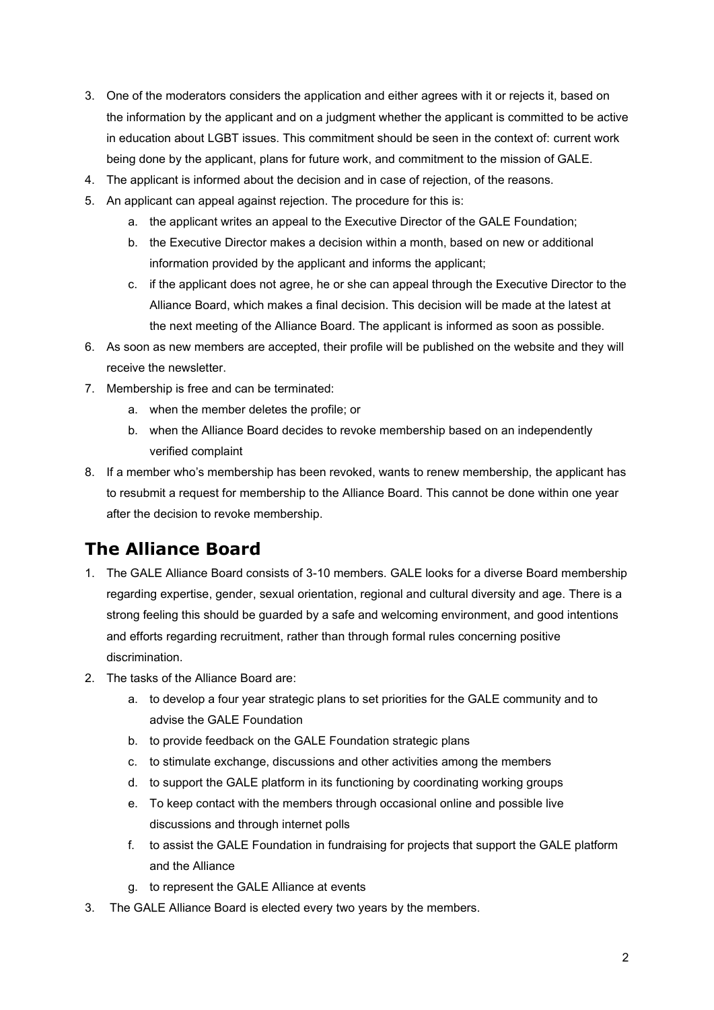- 3. One of the moderators considers the application and either agrees with it or rejects it, based on the information by the applicant and on a judgment whether the applicant is committed to be active in education about LGBT issues. This commitment should be seen in the context of: current work being done by the applicant, plans for future work, and commitment to the mission of GALE.
- 4. The applicant is informed about the decision and in case of rejection, of the reasons.
- 5. An applicant can appeal against rejection. The procedure for this is:
	- a. the applicant writes an appeal to the Executive Director of the GALE Foundation;
	- b. the Executive Director makes a decision within a month, based on new or additional information provided by the applicant and informs the applicant;
	- c. if the applicant does not agree, he or she can appeal through the Executive Director to the Alliance Board, which makes a final decision. This decision will be made at the latest at the next meeting of the Alliance Board. The applicant is informed as soon as possible.
- 6. As soon as new members are accepted, their profile will be published on the website and they will receive the newsletter.
- 7. Membership is free and can be terminated:
	- a. when the member deletes the profile; or
	- b. when the Alliance Board decides to revoke membership based on an independently verified complaint
- 8. If a member who's membership has been revoked, wants to renew membership, the applicant has to resubmit a request for membership to the Alliance Board. This cannot be done within one year after the decision to revoke membership.

## **The Alliance Board**

- 1. The GALE Alliance Board consists of 3-10 members. GALE looks for a diverse Board membership regarding expertise, gender, sexual orientation, regional and cultural diversity and age. There is a strong feeling this should be guarded by a safe and welcoming environment, and good intentions and efforts regarding recruitment, rather than through formal rules concerning positive discrimination.
- 2. The tasks of the Alliance Board are:
	- a. to develop a four year strategic plans to set priorities for the GALE community and to advise the GALE Foundation
	- b. to provide feedback on the GALE Foundation strategic plans
	- c. to stimulate exchange, discussions and other activities among the members
	- d. to support the GALE platform in its functioning by coordinating working groups
	- e. To keep contact with the members through occasional online and possible live discussions and through internet polls
	- f. to assist the GALE Foundation in fundraising for projects that support the GALE platform and the Alliance
	- g. to represent the GALE Alliance at events
- 3. The GALE Alliance Board is elected every two years by the members.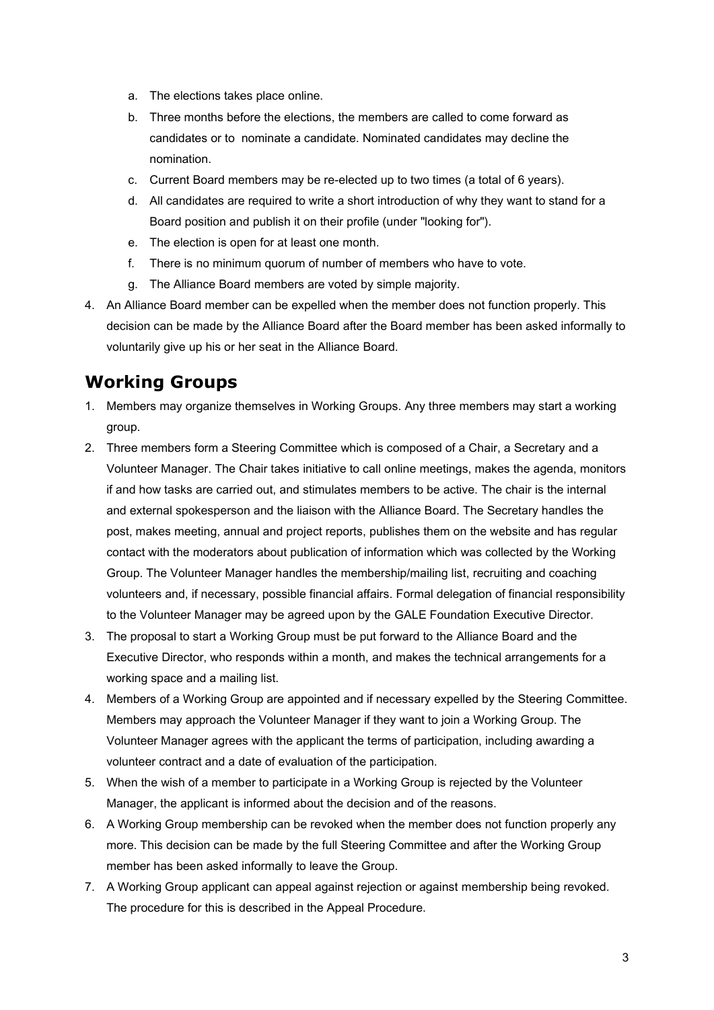- a. The elections takes place online.
- b. Three months before the elections, the members are called to come forward as candidates or to nominate a candidate. Nominated candidates may decline the nomination.
- c. Current Board members may be re-elected up to two times (a total of 6 years).
- d. All candidates are required to write a short introduction of why they want to stand for a Board position and publish it on their profile (under "looking for").
- e. The election is open for at least one month.
- f. There is no minimum quorum of number of members who have to vote.
- g. The Alliance Board members are voted by simple majority.
- 4. An Alliance Board member can be expelled when the member does not function properly. This decision can be made by the Alliance Board after the Board member has been asked informally to voluntarily give up his or her seat in the Alliance Board.

## **Working Groups**

- 1. Members may organize themselves in Working Groups. Any three members may start a working group.
- 2. Three members form a Steering Committee which is composed of a Chair, a Secretary and a Volunteer Manager. The Chair takes initiative to call online meetings, makes the agenda, monitors if and how tasks are carried out, and stimulates members to be active. The chair is the internal and external spokesperson and the liaison with the Alliance Board. The Secretary handles the post, makes meeting, annual and project reports, publishes them on the website and has regular contact with the moderators about publication of information which was collected by the Working Group. The Volunteer Manager handles the membership/mailing list, recruiting and coaching volunteers and, if necessary, possible financial affairs. Formal delegation of financial responsibility to the Volunteer Manager may be agreed upon by the GALE Foundation Executive Director.
- 3. The proposal to start a Working Group must be put forward to the Alliance Board and the Executive Director, who responds within a month, and makes the technical arrangements for a working space and a mailing list.
- 4. Members of a Working Group are appointed and if necessary expelled by the Steering Committee. Members may approach the Volunteer Manager if they want to join a Working Group. The Volunteer Manager agrees with the applicant the terms of participation, including awarding a volunteer contract and a date of evaluation of the participation.
- 5. When the wish of a member to participate in a Working Group is rejected by the Volunteer Manager, the applicant is informed about the decision and of the reasons.
- 6. A Working Group membership can be revoked when the member does not function properly any more. This decision can be made by the full Steering Committee and after the Working Group member has been asked informally to leave the Group.
- 7. A Working Group applicant can appeal against rejection or against membership being revoked. The procedure for this is described in the Appeal Procedure.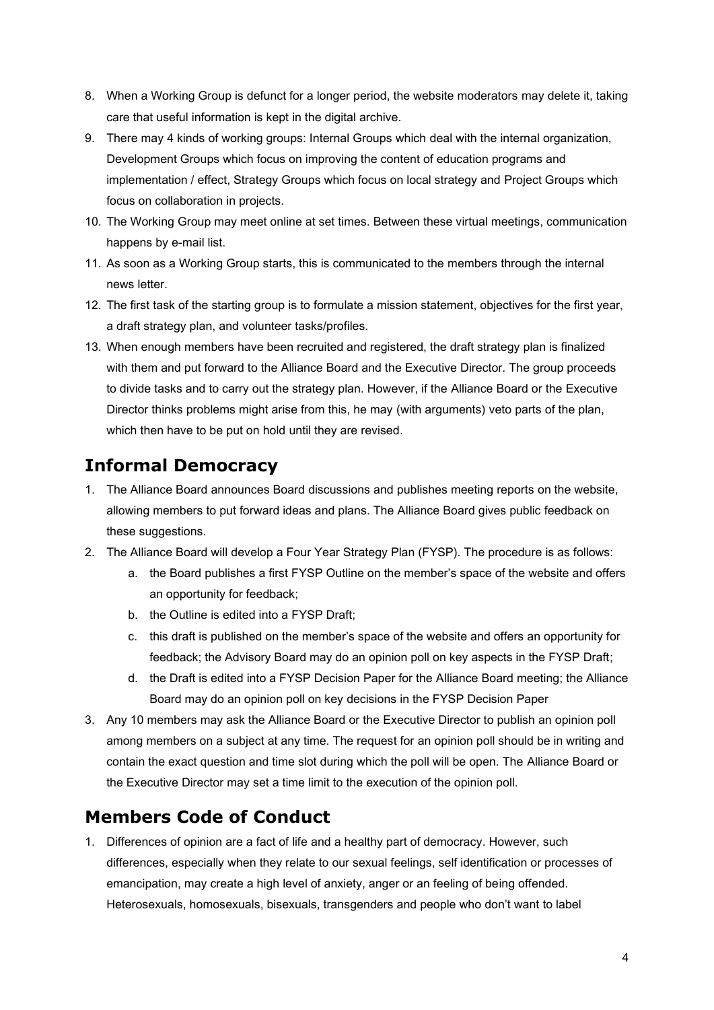- 8. When a Working Group is defunct for a longer period, the website moderators may delete it, taking care that useful information is kept in the digital archive.
- 9. There may 4 kinds of working groups: Internal Groups which deal with the internal organization, Development Groups which focus on improving the content of education programs and implementation / effect, Strategy Groups which focus on local strategy and Project Groups which focus on collaboration in projects.
- 10. The Working Group may meet online at set times. Between these virtual meetings, communication happens by e-mail list.
- 11. As soon as a Working Group starts, this is communicated to the members through the internal news letter.
- 12. The first task of the starting group is to formulate a mission statement, objectives for the first year, a draft strategy plan, and volunteer tasks/profiles.
- 13. When enough members have been recruited and registered, the draft strategy plan is finalized with them and put forward to the Alliance Board and the Executive Director. The group proceeds to divide tasks and to carry out the strategy plan. However, if the Alliance Board or the Executive Director thinks problems might arise from this, he may (with arguments) veto parts of the plan, which then have to be put on hold until they are revised.

## **Informal Democracy**

- 1. The Alliance Board announces Board discussions and publishes meeting reports on the website, allowing members to put forward ideas and plans. The Alliance Board gives public feedback on these suggestions.
- 2. The Alliance Board will develop a Four Year Strategy Plan (FYSP). The procedure is as follows:
	- a. the Board publishes a first FYSP Outline on the member's space of the website and offers an opportunity for feedback;
	- b. the Outline is edited into a FYSP Draft;
	- c. this draft is published on the member's space of the website and offers an opportunity for feedback; the Advisory Board may do an opinion poll on key aspects in the FYSP Draft;
	- d. the Draft is edited into a FYSP Decision Paper for the Alliance Board meeting; the Alliance Board may do an opinion poll on key decisions in the FYSP Decision Paper
- 3. Any 10 members may ask the Alliance Board or the Executive Director to publish an opinion poll among members on a subject at any time. The request for an opinion poll should be in writing and contain the exact question and time slot during which the poll will be open. The Alliance Board or the Executive Director may set a time limit to the execution of the opinion poll.

#### **Members Code of Conduct**

1. Differences of opinion are a fact of life and a healthy part of democracy. However, such differences, especially when they relate to our sexual feelings, self identification or processes of emancipation, may create a high level of anxiety, anger or an feeling of being offended. Heterosexuals, homosexuals, bisexuals, transgenders and people who don't want to label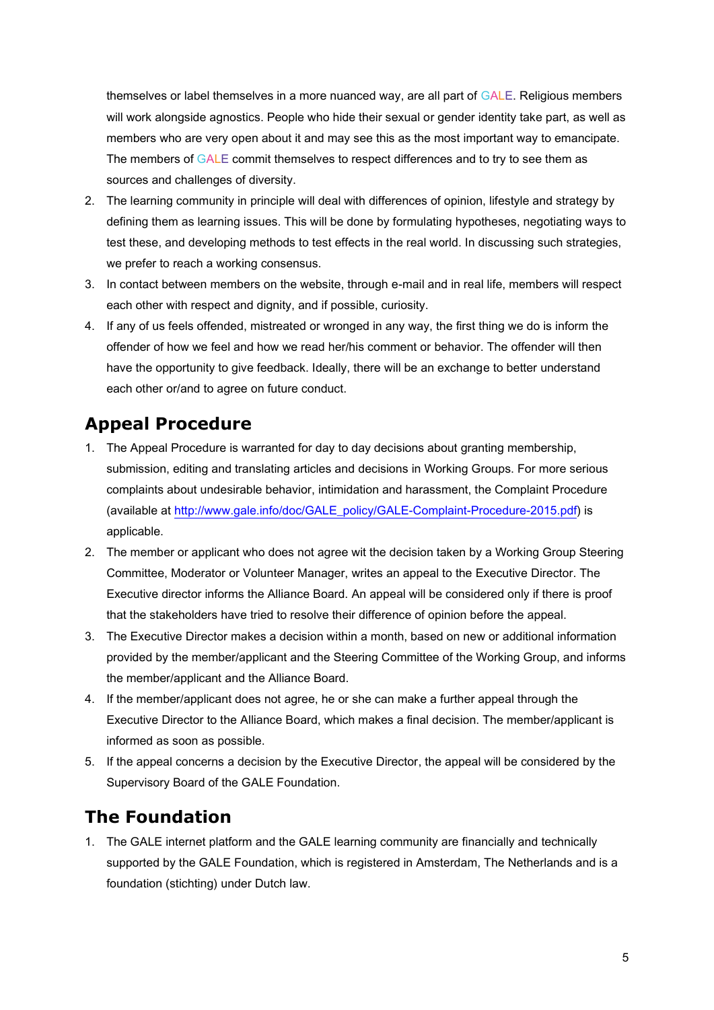themselves or label themselves in a more nuanced way, are all part of GALE. Religious members will work alongside agnostics. People who hide their sexual or gender identity take part, as well as members who are very open about it and may see this as the most important way to emancipate. The members of GALE commit themselves to respect differences and to try to see them as sources and challenges of diversity.

- 2. The learning community in principle will deal with differences of opinion, lifestyle and strategy by defining them as learning issues. This will be done by formulating hypotheses, negotiating ways to test these, and developing methods to test effects in the real world. In discussing such strategies, we prefer to reach a working consensus.
- 3. In contact between members on the website, through e-mail and in real life, members will respect each other with respect and dignity, and if possible, curiosity.
- 4. If any of us feels offended, mistreated or wronged in any way, the first thing we do is inform the offender of how we feel and how we read her/his comment or behavior. The offender will then have the opportunity to give feedback. Ideally, there will be an exchange to better understand each other or/and to agree on future conduct.

#### **Appeal Procedure**

- 1. The Appeal Procedure is warranted for day to day decisions about granting membership, submission, editing and translating articles and decisions in Working Groups. For more serious complaints about undesirable behavior, intimidation and harassment, the Complaint Procedure (available at [http://www.gale.info/doc/GALE\\_policy/GALE-Complaint-Procedure-2015.pdf\)](http://www.gale.info/doc/GALE_policy/GALE-Complaint-Procedure-2015.pdf) is applicable.
- 2. The member or applicant who does not agree wit the decision taken by a Working Group Steering Committee, Moderator or Volunteer Manager, writes an appeal to the Executive Director. The Executive director informs the Alliance Board. An appeal will be considered only if there is proof that the stakeholders have tried to resolve their difference of opinion before the appeal.
- 3. The Executive Director makes a decision within a month, based on new or additional information provided by the member/applicant and the Steering Committee of the Working Group, and informs the member/applicant and the Alliance Board.
- 4. If the member/applicant does not agree, he or she can make a further appeal through the Executive Director to the Alliance Board, which makes a final decision. The member/applicant is informed as soon as possible.
- 5. If the appeal concerns a decision by the Executive Director, the appeal will be considered by the Supervisory Board of the GALE Foundation.

## **The Foundation**

1. The GALE internet platform and the GALE learning community are financially and technically supported by the GALE Foundation, which is registered in Amsterdam, The Netherlands and is a foundation (stichting) under Dutch law.